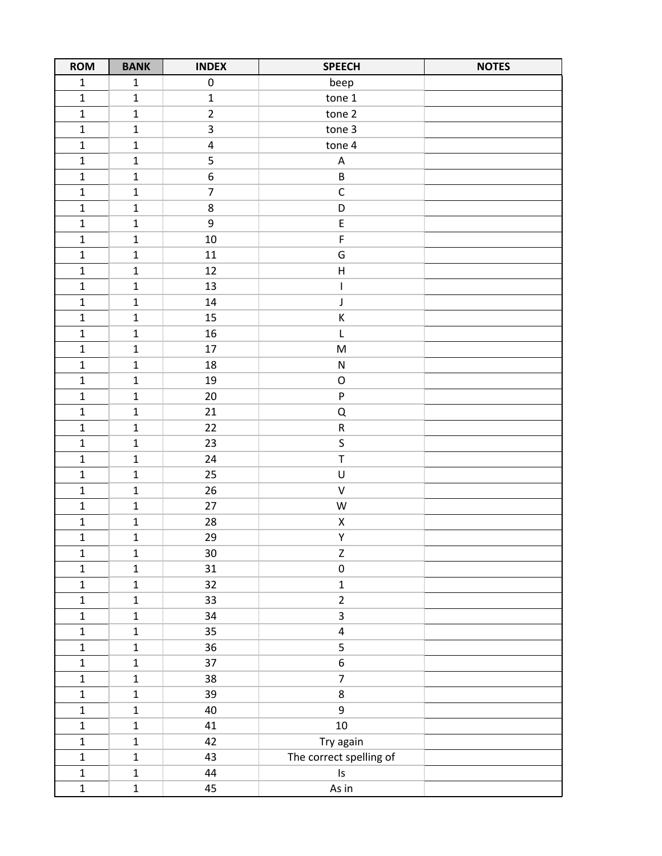| <b>ROM</b>   | <b>BANK</b>  | <b>INDEX</b>     | <b>SPEECH</b>             | <b>NOTES</b> |
|--------------|--------------|------------------|---------------------------|--------------|
| $\mathbf 1$  | $\mathbf 1$  | $\pmb{0}$        | beep                      |              |
| $\mathbf 1$  | $\mathbf 1$  | $\mathbf 1$      | tone 1                    |              |
| $\mathbf 1$  | $\mathbf 1$  | $\overline{2}$   | tone 2                    |              |
| $\mathbf 1$  | $\mathbf 1$  | 3                | tone 3                    |              |
| $\mathbf 1$  | $\mathbf 1$  | $\pmb{4}$        | tone 4                    |              |
| $\mathbf 1$  | $\mathbf{1}$ | 5                | $\mathsf A$               |              |
| $\mathbf 1$  | $\mathbf 1$  | $\boldsymbol{6}$ | $\sf B$                   |              |
| $\mathbf 1$  | $\mathbf 1$  | $\overline{7}$   | $\mathsf C$               |              |
| $\mathbf 1$  | $\mathbf 1$  | $\,8\,$          | D                         |              |
| $\mathbf 1$  | $\mathbf{1}$ | 9                | E                         |              |
| $\mathbf 1$  | $\mathbf 1$  | $10\,$           | F                         |              |
| $\mathbf 1$  | $\mathbf{1}$ | 11               | G                         |              |
| $\mathbf 1$  | $\mathbf 1$  | 12               | $\sf H$                   |              |
| $\mathbf 1$  | $\mathbf 1$  | 13               | $\mathsf I$               |              |
| $\mathbf 1$  | $\mathbf 1$  | 14               | J                         |              |
| $\mathbf 1$  | $\mathbf 1$  | 15               | К                         |              |
| $\mathbf 1$  | $\mathbf{1}$ | 16               | L                         |              |
| $\mathbf 1$  | $\mathbf 1$  | 17               | M                         |              |
| $\mathbf 1$  | $\mathbf{1}$ | 18               | ${\sf N}$                 |              |
| $\mathbf 1$  | $\mathbf 1$  | 19               | $\mathsf O$               |              |
| $\mathbf 1$  | $\mathbf 1$  | 20               | $\boldsymbol{\mathsf{P}}$ |              |
| $\mathbf 1$  | $\mathbf{1}$ | 21               | Q                         |              |
| $\mathbf 1$  | $\mathbf 1$  | 22               | ${\sf R}$                 |              |
| $\mathbf 1$  | $\mathbf 1$  | 23               | $\sf S$                   |              |
| $\mathbf 1$  | $\mathbf 1$  | 24               | T                         |              |
| $\mathbf 1$  | $\mathbf 1$  | 25               | U                         |              |
| $\mathbf 1$  | $\mathbf 1$  | 26               | $\sf V$                   |              |
| $\mathbf 1$  | $\mathbf 1$  | 27               | ${\sf W}$                 |              |
| $\mathbf 1$  | $\mathbf{1}$ | 28               | Χ                         |              |
| $\mathbf{1}$ | $\mathbf 1$  | 29               | Υ                         |              |
| $\mathbf 1$  | $\mathbf{1}$ | 30               | $\mathsf Z$               |              |
| $\mathbf 1$  | $\mathbf 1$  | 31               | $\pmb{0}$                 |              |
| $\mathbf 1$  | $\mathbf 1$  | 32               | $\mathbf 1$               |              |
| $\mathbf 1$  | $\mathbf 1$  | 33               | $\overline{2}$            |              |
| $\mathbf 1$  | $\mathbf{1}$ | 34               | $\overline{\mathbf{3}}$   |              |
| $\mathbf 1$  | $\mathbf{1}$ | 35               | $\overline{4}$            |              |
| $\mathbf 1$  | $\mathbf{1}$ | 36               | 5                         |              |
| $\mathbf 1$  | $\mathbf 1$  | 37               | $\boldsymbol{6}$          |              |
| $\mathbf 1$  | $\mathbf 1$  | 38               | $\overline{7}$            |              |
| $\mathbf 1$  | $\mathbf 1$  | 39               | 8                         |              |
| $\mathbf 1$  | $\mathbf{1}$ | 40               | 9                         |              |
| $\mathbf 1$  | $\mathbf 1$  | 41               | $10\,$                    |              |
| $\mathbf 1$  | $\mathbf{1}$ | 42               | Try again                 |              |
| $\mathbf 1$  | $\mathbf 1$  | 43               | The correct spelling of   |              |
| $\mathbf 1$  | $\mathbf 1$  | 44               | $\sf ls$                  |              |
| $\mathbf 1$  | $\mathbf{1}$ | 45               | As in                     |              |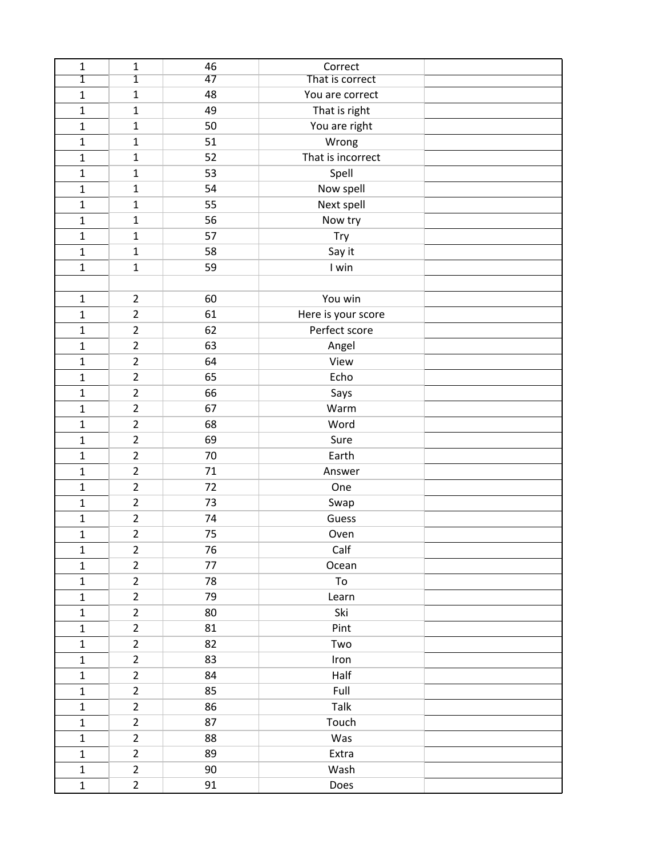| $\mathbf 1$  | $\mathbf{1}$   | 46 | Correct            |  |
|--------------|----------------|----|--------------------|--|
| 1            | $\overline{1}$ | 47 | That is correct    |  |
| $\mathbf{1}$ | $\mathbf{1}$   | 48 | You are correct    |  |
| $\mathbf{1}$ | $\mathbf 1$    | 49 | That is right      |  |
| $\mathbf 1$  | $\mathbf{1}$   | 50 | You are right      |  |
| $\mathbf{1}$ | $\mathbf{1}$   | 51 | Wrong              |  |
| $\mathbf{1}$ | $\mathbf{1}$   | 52 | That is incorrect  |  |
| $\mathbf{1}$ | $\mathbf{1}$   | 53 | Spell              |  |
| $\mathbf{1}$ | $\mathbf{1}$   | 54 | Now spell          |  |
| $\mathbf 1$  | $\mathbf{1}$   | 55 | Next spell         |  |
| $\mathbf{1}$ | $\mathbf{1}$   | 56 | Now try            |  |
| $\mathbf{1}$ | $\mathbf{1}$   | 57 | Try                |  |
| $\mathbf{1}$ | $\mathbf{1}$   | 58 | Say it             |  |
| $\mathbf{1}$ | $\mathbf{1}$   | 59 | I win              |  |
|              |                |    |                    |  |
| $\mathbf{1}$ | $\overline{2}$ | 60 | You win            |  |
| $\mathbf 1$  | $\overline{2}$ | 61 | Here is your score |  |
| $\mathbf{1}$ | $\overline{2}$ | 62 | Perfect score      |  |
| $\mathbf{1}$ | $\overline{2}$ | 63 | Angel              |  |
| $\mathbf{1}$ | $\overline{2}$ | 64 | View               |  |
| $\mathbf{1}$ | $\overline{2}$ | 65 | Echo               |  |
| $\mathbf{1}$ | $\overline{2}$ | 66 | Says               |  |
| $\mathbf{1}$ | $\overline{2}$ | 67 | Warm               |  |
| $\mathbf{1}$ | $\overline{2}$ | 68 | Word               |  |
| $\mathbf{1}$ | $\overline{2}$ | 69 | Sure               |  |
| $\mathbf{1}$ | $\overline{2}$ | 70 | Earth              |  |
| $\mathbf{1}$ | $\overline{2}$ | 71 | Answer             |  |
| $\mathbf{1}$ | $\overline{2}$ | 72 | One                |  |
| $\mathbf 1$  | $\overline{2}$ | 73 | Swap               |  |
| $\mathbf{1}$ | $\overline{2}$ | 74 | Guess              |  |
| $\mathbf{1}$ | $\overline{2}$ | 75 | Oven               |  |
| $\mathbf 1$  | $\overline{2}$ | 76 | Calf               |  |
| $\mathbf{1}$ | $\overline{2}$ | 77 | Ocean              |  |
| $\mathbf 1$  | $\overline{2}$ | 78 | To                 |  |
| $\mathbf{1}$ | $\overline{2}$ | 79 | Learn              |  |
| $\mathbf 1$  | $\overline{2}$ | 80 | Ski                |  |
| $\mathbf 1$  | $\overline{2}$ | 81 | Pint               |  |
| $\mathbf 1$  | $\overline{2}$ | 82 | Two                |  |
| $\mathbf{1}$ | $\overline{2}$ | 83 | Iron               |  |
| $\mathbf 1$  | $\overline{2}$ | 84 | Half               |  |
| $\mathbf 1$  | $\overline{2}$ | 85 | Full               |  |
| $\mathbf{1}$ | $\overline{2}$ | 86 | Talk               |  |
| $\mathbf 1$  | $\overline{2}$ | 87 | Touch              |  |
| $\mathbf 1$  | $\overline{2}$ | 88 | Was                |  |
| $\mathbf{1}$ | $\overline{2}$ | 89 | Extra              |  |
| $\mathbf 1$  | $\overline{2}$ | 90 | Wash               |  |
| $\mathbf 1$  | $\overline{2}$ | 91 | Does               |  |
|              |                |    |                    |  |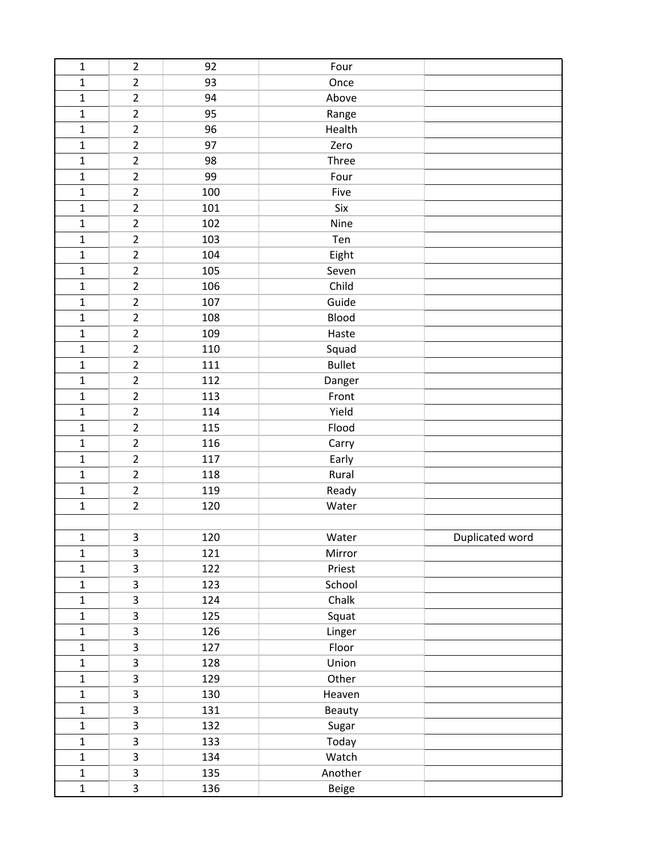| $\mathbf 1$  | $\overline{2}$ | 92  | Four          |                 |
|--------------|----------------|-----|---------------|-----------------|
| $\mathbf{1}$ | $\overline{2}$ | 93  | Once          |                 |
| $\mathbf{1}$ | $\overline{2}$ | 94  | Above         |                 |
| $\mathbf 1$  | $\overline{2}$ | 95  | Range         |                 |
| $\mathbf{1}$ | $\overline{2}$ | 96  | Health        |                 |
| $\mathbf 1$  | $\overline{2}$ | 97  | Zero          |                 |
| $\mathbf 1$  | $\overline{2}$ | 98  | Three         |                 |
| $\mathbf 1$  | $\overline{2}$ | 99  | Four          |                 |
| $\mathbf 1$  | $\overline{2}$ | 100 | Five          |                 |
| $\mathbf{1}$ | $\overline{2}$ | 101 | Six           |                 |
| $\mathbf 1$  | $\overline{2}$ | 102 | Nine          |                 |
| $\mathbf 1$  | $\overline{2}$ | 103 | Ten           |                 |
| $\mathbf 1$  | $\overline{2}$ | 104 | Eight         |                 |
| $\mathbf 1$  | $\overline{2}$ | 105 | Seven         |                 |
| $\mathbf{1}$ | $\overline{2}$ | 106 | Child         |                 |
| $\mathbf 1$  | $\overline{2}$ | 107 | Guide         |                 |
| $\mathbf 1$  | $\overline{2}$ | 108 | Blood         |                 |
| $\mathbf 1$  | $\overline{2}$ | 109 | Haste         |                 |
| $\mathbf 1$  | $\overline{2}$ | 110 | Squad         |                 |
| $\mathbf 1$  | $\overline{2}$ | 111 | <b>Bullet</b> |                 |
| $\mathbf 1$  | $\overline{2}$ | 112 | Danger        |                 |
| $\mathbf 1$  | $\overline{2}$ | 113 | Front         |                 |
| $\mathbf 1$  | $\overline{2}$ | 114 | Yield         |                 |
| $\mathbf{1}$ | $\overline{2}$ | 115 | Flood         |                 |
| $\mathbf 1$  | $\overline{2}$ | 116 | Carry         |                 |
| $\mathbf 1$  | $\overline{2}$ | 117 | Early         |                 |
| $\mathbf 1$  | $\overline{2}$ | 118 | Rural         |                 |
| $\mathbf 1$  | $\overline{2}$ | 119 | Ready         |                 |
| $\mathbf 1$  | $\overline{2}$ | 120 | Water         |                 |
|              |                |     |               |                 |
| $\mathbf{1}$ | 3              | 120 | Water         | Duplicated word |
| $\mathbf 1$  | 3              | 121 | Mirror        |                 |
| $\mathbf{1}$ | 3              | 122 | Priest        |                 |
| $\mathbf{1}$ | 3              | 123 | School        |                 |
| $\mathbf 1$  | 3              | 124 | Chalk         |                 |
| $\mathbf{1}$ | 3              | 125 | Squat         |                 |
| $\mathbf 1$  | 3              | 126 | Linger        |                 |
| $\mathbf{1}$ | 3              | 127 | Floor         |                 |
| $\mathbf 1$  | 3              | 128 | Union         |                 |
| $\mathbf{1}$ | 3              | 129 | Other         |                 |
| $\mathbf{1}$ | 3              | 130 | Heaven        |                 |
| $\mathbf 1$  | 3              | 131 | <b>Beauty</b> |                 |
| $\mathbf 1$  | 3              | 132 | Sugar         |                 |
| $\mathbf 1$  | 3              | 133 | Today         |                 |
| $\mathbf{1}$ | 3              | 134 | Watch         |                 |
| $\mathbf{1}$ | 3              | 135 | Another       |                 |
| $\mathbf 1$  | 3              | 136 | Beige         |                 |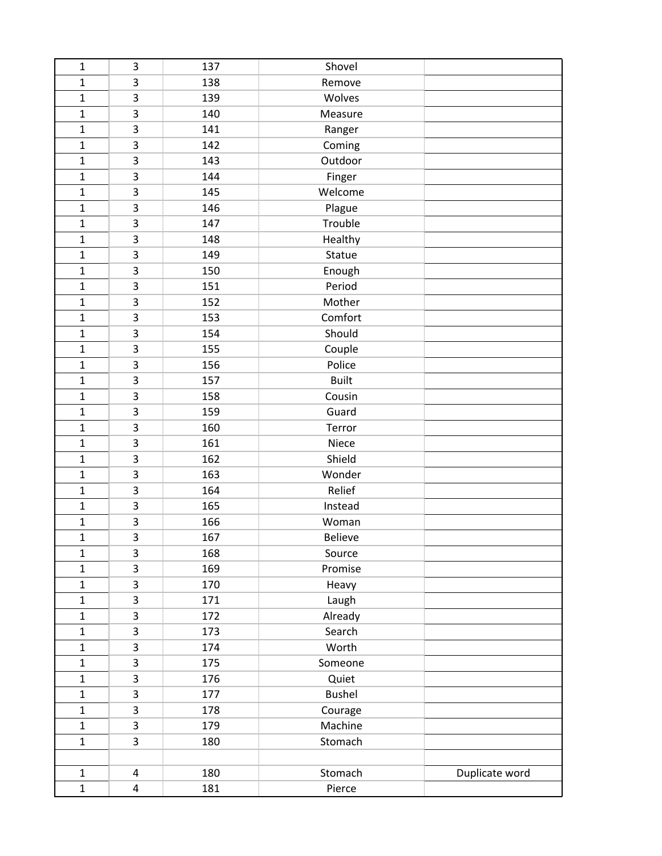| $\mathbf 1$    | 3              | 137 | Shovel       |                |
|----------------|----------------|-----|--------------|----------------|
| $\mathbf 1$    | 3              | 138 | Remove       |                |
| $\mathbf{1}$   | 3              | 139 | Wolves       |                |
| $\mathbf{1}$   | 3              | 140 | Measure      |                |
| $\mathbf{1}$   | 3              | 141 | Ranger       |                |
| $\mathbf{1}$   | 3              | 142 | Coming       |                |
| $\mathbf{1}$   | 3              | 143 | Outdoor      |                |
| $\mathbf 1$    | 3              | 144 | Finger       |                |
| $\mathbf 1$    | 3              | 145 | Welcome      |                |
| $\overline{1}$ | 3              | 146 | Plague       |                |
| $\mathbf{1}$   | 3              | 147 | Trouble      |                |
| $\mathbf{1}$   | 3              | 148 | Healthy      |                |
| $\mathbf 1$    | 3              | 149 | Statue       |                |
| $\mathbf 1$    | 3              | 150 | Enough       |                |
| $\mathbf{1}$   | 3              | 151 | Period       |                |
| $\mathbf{1}$   | 3              | 152 | Mother       |                |
| $\mathbf{1}$   | 3              | 153 | Comfort      |                |
| $\mathbf 1$    | 3              | 154 | Should       |                |
| $\mathbf{1}$   | 3              | 155 | Couple       |                |
| $\mathbf 1$    | 3              | 156 | Police       |                |
| $\mathbf{1}$   | 3              | 157 | <b>Built</b> |                |
| $\mathbf 1$    | 3              | 158 | Cousin       |                |
| $\mathbf{1}$   | 3              | 159 | Guard        |                |
| $\mathbf{1}$   | 3              | 160 | Terror       |                |
| $\mathbf 1$    | 3              | 161 | Niece        |                |
| $\mathbf{1}$   | 3              | 162 | Shield       |                |
| $\mathbf 1$    | 3              | 163 | Wonder       |                |
| $\mathbf 1$    | 3              | 164 | Relief       |                |
| $\mathbf{1}$   | 3              | 165 | Instead      |                |
| $\mathbf 1$    | 3              | 166 | Woman        |                |
| $\mathbf{1}$   | 3              | 167 | Believe      |                |
| $\mathbf 1$    | 3              | 168 | Source       |                |
| $\mathbf{1}$   | 3              | 169 | Promise      |                |
| $\mathbf{1}$   | 3              | 170 | Heavy        |                |
| $\mathbf{1}$   | 3              | 171 | Laugh        |                |
| $\mathbf 1$    | 3              | 172 | Already      |                |
| $\mathbf 1$    | 3              | 173 | Search       |                |
| $\mathbf{1}$   | 3              | 174 | Worth        |                |
| $\mathbf 1$    | 3              | 175 | Someone      |                |
| $\mathbf{1}$   | 3              | 176 | Quiet        |                |
| $\mathbf{1}$   | 3              | 177 | Bushel       |                |
| $\mathbf{1}$   | 3              | 178 | Courage      |                |
| $\mathbf{1}$   | 3              | 179 | Machine      |                |
| $\mathbf{1}$   | $\overline{3}$ | 180 | Stomach      |                |
|                |                |     |              |                |
| $\mathbf 1$    | 4              | 180 | Stomach      | Duplicate word |
| $\mathbf 1$    | 4              | 181 | Pierce       |                |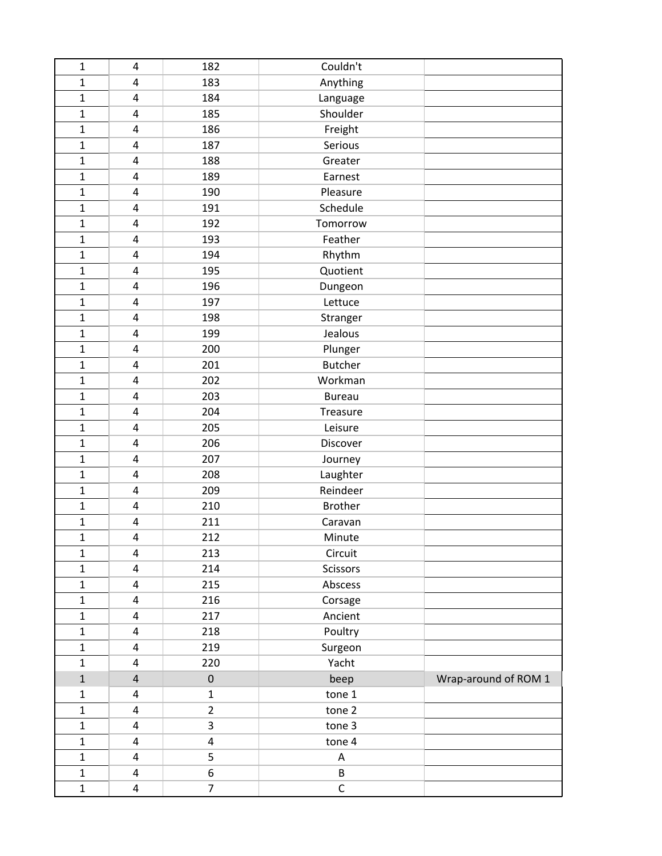| $\mathbf 1$  | 4                       | 182              | Couldn't                  |                      |
|--------------|-------------------------|------------------|---------------------------|----------------------|
| $\mathbf{1}$ | 4                       | 183              | Anything                  |                      |
| $\mathbf 1$  | 4                       | 184              | Language                  |                      |
| $\mathbf{1}$ | 4                       | 185              | Shoulder                  |                      |
| $\mathbf{1}$ | 4                       | 186              | Freight                   |                      |
| $\mathbf 1$  | 4                       | 187              | Serious                   |                      |
| $\mathbf{1}$ | 4                       | 188              | Greater                   |                      |
| $\mathbf{1}$ | 4                       | 189              | Earnest                   |                      |
| $\mathbf{1}$ | 4                       | 190              | Pleasure                  |                      |
| $\mathbf{1}$ | 4                       | 191              | Schedule                  |                      |
| $\mathbf 1$  | 4                       | 192              | Tomorrow                  |                      |
| $\mathbf{1}$ | 4                       | 193              | Feather                   |                      |
| $\mathbf{1}$ | 4                       | 194              | Rhythm                    |                      |
| $\mathbf{1}$ | 4                       | 195              | Quotient                  |                      |
| $\mathbf 1$  | 4                       | 196              | Dungeon                   |                      |
| $\mathbf 1$  | 4                       | 197              | Lettuce                   |                      |
| $\mathbf 1$  | 4                       | 198              | Stranger                  |                      |
| $\mathbf{1}$ | 4                       | 199              | Jealous                   |                      |
| $\mathbf{1}$ | 4                       | 200              | Plunger                   |                      |
| $\mathbf{1}$ | 4                       | 201              | <b>Butcher</b>            |                      |
| $\mathbf{1}$ | 4                       | 202              | Workman                   |                      |
| $\mathbf 1$  | 4                       | 203              | <b>Bureau</b>             |                      |
| $\mathbf{1}$ | 4                       | 204              | Treasure                  |                      |
| $\mathbf{1}$ | 4                       | 205              | Leisure                   |                      |
| $\mathbf{1}$ | 4                       | 206              | Discover                  |                      |
| $\mathbf{1}$ | 4                       | 207              | Journey                   |                      |
| $\mathbf 1$  | 4                       | 208              | Laughter                  |                      |
| $\mathbf 1$  | 4                       | 209              | Reindeer                  |                      |
| $\mathbf{1}$ | 4                       | 210              | <b>Brother</b>            |                      |
| $\mathbf 1$  | 4                       | 211              | Caravan                   |                      |
| $\mathbf{1}$ | 4                       | 212              | Minute                    |                      |
| $\mathbf 1$  | 4                       | 213              | Circuit                   |                      |
| $\mathbf{1}$ | 4                       | 214              | Scissors                  |                      |
| $\mathbf 1$  | 4                       | 215              | Abscess                   |                      |
| $\mathbf{1}$ | 4                       | 216              | Corsage                   |                      |
| $\mathbf 1$  | 4                       | 217              | Ancient                   |                      |
| $\mathbf 1$  | 4                       | 218              | Poultry                   |                      |
| $\mathbf{1}$ | 4                       | 219              | Surgeon                   |                      |
| $\mathbf{1}$ | 4                       | 220              | Yacht                     |                      |
| $\mathbf 1$  | $\overline{\mathbf{4}}$ | $\boldsymbol{0}$ | beep                      | Wrap-around of ROM 1 |
| 1            | 4                       | $\mathbf{1}$     | tone 1                    |                      |
| $\mathbf 1$  | 4                       | $\overline{2}$   | tone 2                    |                      |
| $\mathbf{1}$ | 4                       | 3                | tone 3                    |                      |
| $\mathbf{1}$ | 4                       | 4                | tone 4                    |                      |
| $\mathbf{1}$ | 4                       | 5                | $\boldsymbol{\mathsf{A}}$ |                      |
| $\mathbf 1$  | 4                       | 6                | B                         |                      |
| $\mathbf 1$  | 4                       | $\overline{7}$   | $\mathsf C$               |                      |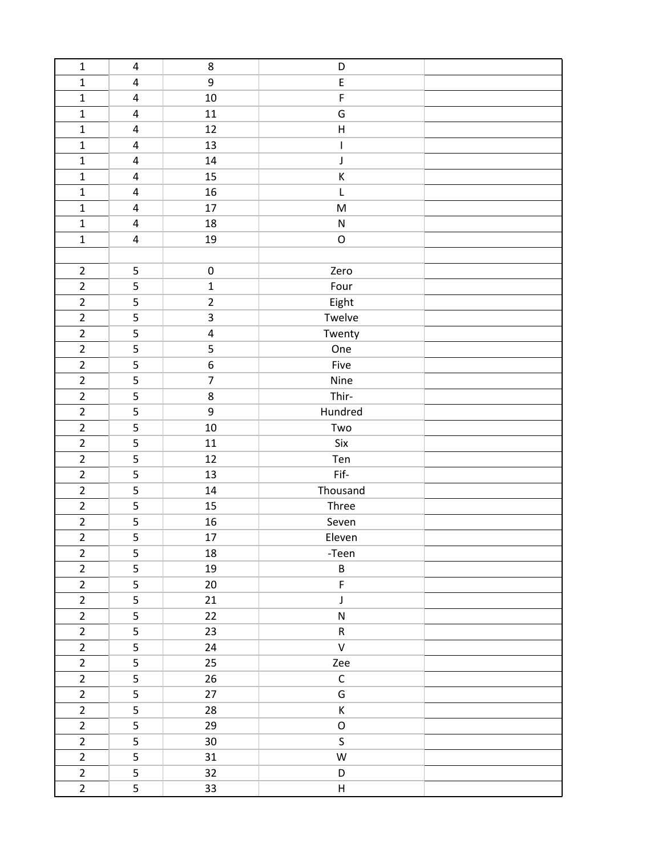| $\mathbf 1$    | $\pmb{4}$               | $\,8\,$                 | D                                                                                                          |  |
|----------------|-------------------------|-------------------------|------------------------------------------------------------------------------------------------------------|--|
| $\mathbf 1$    | $\pmb{4}$               | 9                       | $\sf E$                                                                                                    |  |
| $\mathbf 1$    | 4                       | 10                      | $\mathsf F$                                                                                                |  |
| $\mathbf 1$    | $\overline{\mathbf{4}}$ | 11                      | G                                                                                                          |  |
| $\mathbf 1$    | $\overline{\mathbf{4}}$ | 12                      | $\sf H$                                                                                                    |  |
| $\mathbf 1$    | $\overline{4}$          | 13                      | I                                                                                                          |  |
| $\mathbf{1}$   | $\overline{\mathbf{4}}$ | 14                      | J                                                                                                          |  |
| $\mathbf 1$    | 4                       | 15                      | К                                                                                                          |  |
| $\mathbf 1$    | $\overline{\mathbf{4}}$ | 16                      | L                                                                                                          |  |
| $\mathbf 1$    | $\overline{4}$          | 17                      | $\mathsf{M}% _{T}=\mathsf{M}_{T}\!\left( a,b\right) ,\ \mathsf{M}_{T}=\mathsf{M}_{T}\!\left( a,b\right) ,$ |  |
| $\mathbf 1$    | $\overline{\mathbf{4}}$ | 18                      | ${\sf N}$                                                                                                  |  |
| $\mathbf 1$    | 4                       | 19                      | $\mathsf O$                                                                                                |  |
|                |                         |                         |                                                                                                            |  |
| $\overline{2}$ | 5                       | $\pmb{0}$               | Zero                                                                                                       |  |
| $\overline{2}$ | 5                       | $\mathbf{1}$            | Four                                                                                                       |  |
| $\overline{2}$ | 5                       | $\overline{2}$          | Eight                                                                                                      |  |
| $\overline{2}$ | 5                       | 3                       | Twelve                                                                                                     |  |
| $\overline{2}$ | 5                       | $\overline{\mathbf{4}}$ | Twenty                                                                                                     |  |
| $\overline{2}$ | 5                       | 5                       | One                                                                                                        |  |
| $\overline{2}$ | 5                       | $\boldsymbol{6}$        | Five                                                                                                       |  |
| $\overline{2}$ | 5                       | $\overline{7}$          | Nine                                                                                                       |  |
| $\overline{2}$ | 5                       | 8                       | Thir-                                                                                                      |  |
| $\overline{2}$ | 5                       | 9                       | Hundred                                                                                                    |  |
| $\overline{2}$ | 5                       | 10                      | Two                                                                                                        |  |
| $\overline{2}$ | 5                       | 11                      | Six                                                                                                        |  |
| $\overline{2}$ | 5                       | 12                      | Ten                                                                                                        |  |
| $\overline{2}$ | 5                       | 13                      | Fif-                                                                                                       |  |
| $\mathbf 2$    | 5                       | 14                      | Thousand                                                                                                   |  |
| $\overline{2}$ | 5                       | 15                      | Three                                                                                                      |  |
| $\overline{2}$ | 5                       | 16                      | Seven                                                                                                      |  |
| $\overline{2}$ | 5                       | 17                      | Eleven                                                                                                     |  |
| $\overline{2}$ | 5                       | 18                      | -Teen                                                                                                      |  |
| $\overline{2}$ | 5                       | 19                      | B                                                                                                          |  |
| $\overline{2}$ | 5                       | 20                      | $\mathsf F$                                                                                                |  |
| $\overline{2}$ | 5                       | 21                      | J                                                                                                          |  |
| $\overline{2}$ | 5                       | 22                      | ${\sf N}$                                                                                                  |  |
| $\overline{2}$ | 5                       | 23                      | ${\sf R}$                                                                                                  |  |
| $\overline{2}$ | 5                       | 24                      | $\mathsf{V}$                                                                                               |  |
| $\overline{2}$ | 5                       | 25                      | Zee                                                                                                        |  |
| $\overline{2}$ | 5                       | 26                      | $\mathsf C$                                                                                                |  |
| $\overline{2}$ | 5                       | 27                      | G                                                                                                          |  |
| $\overline{2}$ | 5                       | 28                      | К                                                                                                          |  |
| $\overline{2}$ | 5                       | 29                      | $\mathsf O$                                                                                                |  |
| $\overline{2}$ | $\mathsf S$             | 30                      | S                                                                                                          |  |
| $\overline{2}$ | 5                       | 31                      | W                                                                                                          |  |
| $\overline{2}$ | 5                       | 32                      | D                                                                                                          |  |
| $\overline{2}$ | 5                       | 33                      | H                                                                                                          |  |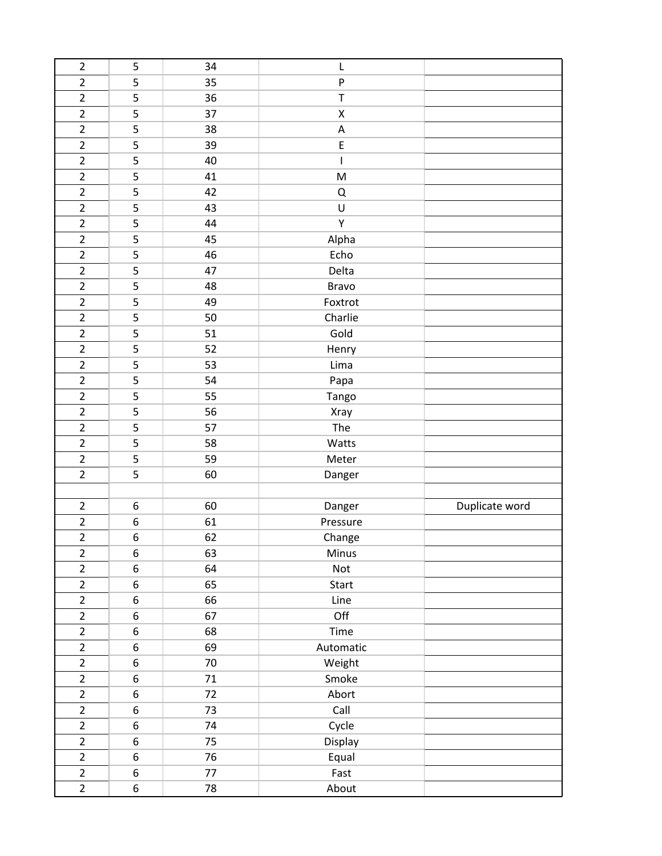| $\overline{2}$ | 5                | 34 | L                                                                                                                                                                                                                                                                                                                                                                                |                |
|----------------|------------------|----|----------------------------------------------------------------------------------------------------------------------------------------------------------------------------------------------------------------------------------------------------------------------------------------------------------------------------------------------------------------------------------|----------------|
| $\overline{2}$ | 5                | 35 | ${\sf P}$                                                                                                                                                                                                                                                                                                                                                                        |                |
| $\mathbf 2$    | 5                | 36 | $\sf T$                                                                                                                                                                                                                                                                                                                                                                          |                |
| $\overline{2}$ | 5                | 37 | $\pmb{\mathsf{X}}$                                                                                                                                                                                                                                                                                                                                                               |                |
| $\overline{2}$ | 5                | 38 | $\mathsf A$                                                                                                                                                                                                                                                                                                                                                                      |                |
| $\overline{2}$ | 5                | 39 | $\sf E$                                                                                                                                                                                                                                                                                                                                                                          |                |
| $\overline{2}$ | 5                | 40 | $\begin{array}{c} \rule{0pt}{2.5ex} \rule{0pt}{2.5ex} \rule{0pt}{2.5ex} \rule{0pt}{2.5ex} \rule{0pt}{2.5ex} \rule{0pt}{2.5ex} \rule{0pt}{2.5ex} \rule{0pt}{2.5ex} \rule{0pt}{2.5ex} \rule{0pt}{2.5ex} \rule{0pt}{2.5ex} \rule{0pt}{2.5ex} \rule{0pt}{2.5ex} \rule{0pt}{2.5ex} \rule{0pt}{2.5ex} \rule{0pt}{2.5ex} \rule{0pt}{2.5ex} \rule{0pt}{2.5ex} \rule{0pt}{2.5ex} \rule{0$ |                |
| $\overline{2}$ | 5                | 41 | M                                                                                                                                                                                                                                                                                                                                                                                |                |
| $\overline{2}$ | 5                | 42 | Q                                                                                                                                                                                                                                                                                                                                                                                |                |
| $\overline{2}$ | 5                | 43 | U                                                                                                                                                                                                                                                                                                                                                                                |                |
| $\overline{2}$ | 5                | 44 | Υ                                                                                                                                                                                                                                                                                                                                                                                |                |
| $\overline{2}$ | 5                | 45 | Alpha                                                                                                                                                                                                                                                                                                                                                                            |                |
| $\overline{2}$ | 5                | 46 | Echo                                                                                                                                                                                                                                                                                                                                                                             |                |
| $\overline{2}$ | 5                | 47 | Delta                                                                                                                                                                                                                                                                                                                                                                            |                |
| $\overline{2}$ | 5                | 48 | <b>Bravo</b>                                                                                                                                                                                                                                                                                                                                                                     |                |
| $\overline{2}$ | 5                | 49 | Foxtrot                                                                                                                                                                                                                                                                                                                                                                          |                |
| $\overline{2}$ | 5                | 50 | Charlie                                                                                                                                                                                                                                                                                                                                                                          |                |
| $\overline{2}$ | 5                | 51 | Gold                                                                                                                                                                                                                                                                                                                                                                             |                |
| $\overline{2}$ | 5                | 52 | Henry                                                                                                                                                                                                                                                                                                                                                                            |                |
| $\overline{2}$ | 5                | 53 | Lima                                                                                                                                                                                                                                                                                                                                                                             |                |
| $\overline{2}$ | 5                | 54 | Papa                                                                                                                                                                                                                                                                                                                                                                             |                |
| $\mathbf 2$    | 5                | 55 | Tango                                                                                                                                                                                                                                                                                                                                                                            |                |
| $\overline{2}$ | 5                | 56 | Xray                                                                                                                                                                                                                                                                                                                                                                             |                |
| $\overline{2}$ | 5                | 57 | The                                                                                                                                                                                                                                                                                                                                                                              |                |
| $\overline{2}$ | 5                | 58 | Watts                                                                                                                                                                                                                                                                                                                                                                            |                |
| $\overline{2}$ | 5                | 59 | Meter                                                                                                                                                                                                                                                                                                                                                                            |                |
| $\overline{2}$ | 5                | 60 | Danger                                                                                                                                                                                                                                                                                                                                                                           |                |
|                |                  |    |                                                                                                                                                                                                                                                                                                                                                                                  |                |
| $\overline{2}$ | 6                | 60 | Danger                                                                                                                                                                                                                                                                                                                                                                           | Duplicate word |
| $\overline{2}$ | 6                | 61 | Pressure                                                                                                                                                                                                                                                                                                                                                                         |                |
| $\overline{2}$ | 6                | 62 | Change                                                                                                                                                                                                                                                                                                                                                                           |                |
| $\overline{2}$ | 6                | 63 | Minus                                                                                                                                                                                                                                                                                                                                                                            |                |
| $\overline{2}$ | 6                | 64 | Not                                                                                                                                                                                                                                                                                                                                                                              |                |
| $\overline{2}$ | 6                | 65 | Start                                                                                                                                                                                                                                                                                                                                                                            |                |
| $\overline{2}$ | 6                | 66 | Line                                                                                                                                                                                                                                                                                                                                                                             |                |
| $\overline{2}$ | 6                | 67 | Off                                                                                                                                                                                                                                                                                                                                                                              |                |
| $\overline{2}$ | 6                | 68 | Time                                                                                                                                                                                                                                                                                                                                                                             |                |
| $\overline{2}$ | 6                | 69 | Automatic                                                                                                                                                                                                                                                                                                                                                                        |                |
| $\overline{2}$ | 6                | 70 | Weight                                                                                                                                                                                                                                                                                                                                                                           |                |
| $\overline{2}$ | 6                | 71 | Smoke                                                                                                                                                                                                                                                                                                                                                                            |                |
| $\overline{2}$ | 6                | 72 | Abort                                                                                                                                                                                                                                                                                                                                                                            |                |
| $\overline{2}$ | $\boldsymbol{6}$ | 73 | Call                                                                                                                                                                                                                                                                                                                                                                             |                |
| $\overline{2}$ | 6                | 74 | Cycle                                                                                                                                                                                                                                                                                                                                                                            |                |
| $\overline{2}$ | 6                | 75 | Display                                                                                                                                                                                                                                                                                                                                                                          |                |
| $\overline{2}$ | 6                | 76 | Equal                                                                                                                                                                                                                                                                                                                                                                            |                |
| $\overline{2}$ | 6                | 77 | Fast                                                                                                                                                                                                                                                                                                                                                                             |                |
| $\overline{2}$ | 6                | 78 | About                                                                                                                                                                                                                                                                                                                                                                            |                |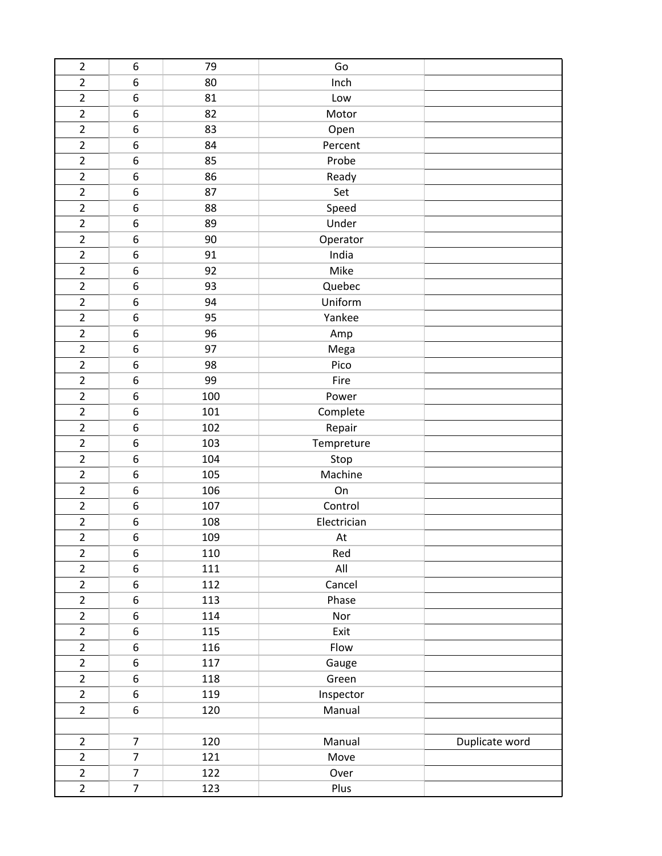| $\mathbf 2$    | 6              | 79  | Go          |                |
|----------------|----------------|-----|-------------|----------------|
| $\overline{c}$ | 6              | 80  | Inch        |                |
| $\overline{2}$ | 6              | 81  | Low         |                |
| $\overline{2}$ | 6              | 82  | Motor       |                |
| $\overline{2}$ | 6              | 83  | Open        |                |
| $\overline{2}$ | 6              | 84  | Percent     |                |
| $\overline{2}$ | 6              | 85  | Probe       |                |
| $\mathbf 2$    | 6              | 86  | Ready       |                |
| $\overline{2}$ | 6              | 87  | Set         |                |
| $\overline{2}$ | 6              | 88  | Speed       |                |
| $\overline{2}$ | 6              | 89  | Under       |                |
| $\overline{2}$ | 6              | 90  | Operator    |                |
| $\overline{2}$ | 6              | 91  | India       |                |
| $\overline{c}$ | 6              | 92  | Mike        |                |
| $\overline{2}$ | 6              | 93  | Quebec      |                |
| $\overline{2}$ | 6              | 94  | Uniform     |                |
| $\overline{2}$ | 6              | 95  | Yankee      |                |
| $\overline{2}$ | 6              | 96  | Amp         |                |
| $\overline{2}$ | 6              | 97  | Mega        |                |
| $\mathbf 2$    | 6              | 98  | Pico        |                |
| $\overline{2}$ | 6              | 99  | Fire        |                |
| $\overline{2}$ | 6              | 100 | Power       |                |
| $\overline{2}$ | 6              | 101 | Complete    |                |
| $\overline{2}$ | 6              | 102 | Repair      |                |
| $\overline{2}$ | 6              | 103 | Tempreture  |                |
| $\overline{2}$ | 6              | 104 | Stop        |                |
| $\mathbf 2$    | 6              | 105 | Machine     |                |
| $\overline{2}$ | 6              | 106 | On          |                |
| $\overline{2}$ | 6              | 107 | Control     |                |
| $\overline{2}$ | 6              | 108 | Electrician |                |
| $\overline{2}$ | 6              | 109 | At          |                |
| $\overline{2}$ | 6              | 110 | Red         |                |
| $\overline{2}$ | 6              | 111 | All         |                |
| $\overline{2}$ | 6              | 112 | Cancel      |                |
| $\overline{2}$ | 6              | 113 | Phase       |                |
| $\overline{2}$ | 6              | 114 | Nor         |                |
| $\overline{2}$ | 6              | 115 | Exit        |                |
| $\overline{2}$ | 6              | 116 | Flow        |                |
| $\overline{2}$ | 6              | 117 | Gauge       |                |
| $\overline{2}$ | 6              | 118 | Green       |                |
| $\overline{2}$ | 6              | 119 | Inspector   |                |
| $\overline{2}$ | 6              | 120 | Manual      |                |
|                |                |     |             |                |
| $\overline{2}$ | $\overline{7}$ | 120 | Manual      | Duplicate word |
| $\overline{2}$ | $\overline{7}$ | 121 | Move        |                |
| $\overline{2}$ | $\overline{7}$ | 122 | Over        |                |
| $\overline{2}$ | $\overline{7}$ | 123 | Plus        |                |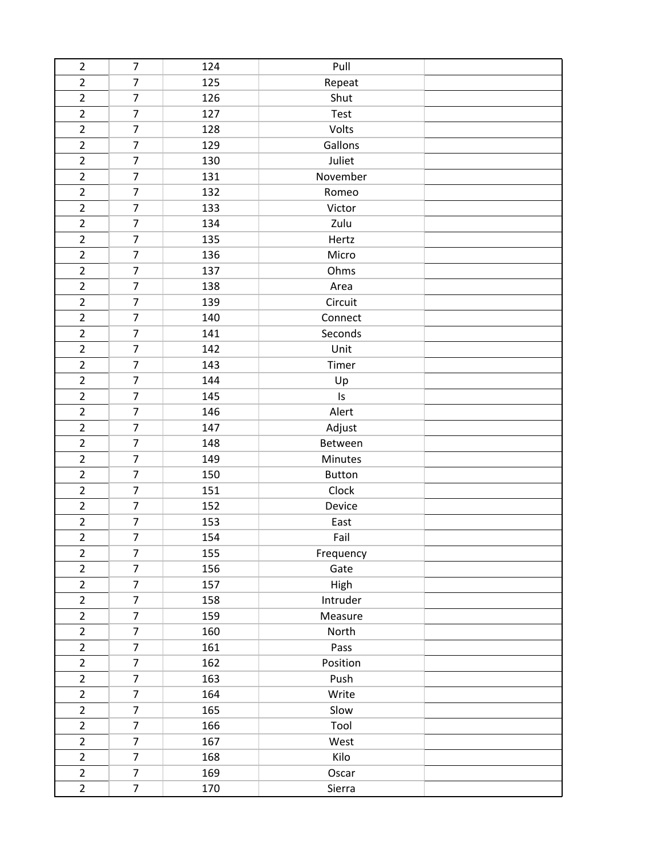| $\overline{2}$ | $\overline{7}$ | 124 | Pull          |  |
|----------------|----------------|-----|---------------|--|
| $\overline{2}$ | $\overline{7}$ | 125 | Repeat        |  |
| $\overline{2}$ | $\overline{7}$ | 126 | Shut          |  |
| $\overline{2}$ | $\overline{7}$ | 127 | Test          |  |
| $\overline{2}$ | $\overline{7}$ | 128 | Volts         |  |
| $\overline{2}$ | $\overline{7}$ | 129 | Gallons       |  |
| $\overline{2}$ | $\overline{7}$ | 130 | Juliet        |  |
| $\overline{2}$ | $\overline{7}$ | 131 | November      |  |
| $\overline{2}$ | $\overline{7}$ | 132 | Romeo         |  |
| $\overline{2}$ | $\overline{7}$ | 133 | Victor        |  |
| $\overline{2}$ | $\overline{7}$ | 134 | Zulu          |  |
| $\overline{2}$ | $\overline{7}$ | 135 | Hertz         |  |
| $\overline{2}$ | $\overline{7}$ | 136 | Micro         |  |
| $\overline{2}$ | $\overline{7}$ | 137 | Ohms          |  |
| $\overline{2}$ | $\overline{7}$ | 138 | Area          |  |
| $\overline{2}$ | $\overline{7}$ | 139 | Circuit       |  |
| $\overline{2}$ | $\overline{7}$ | 140 | Connect       |  |
| $\overline{2}$ | $\overline{7}$ | 141 | Seconds       |  |
| $\overline{2}$ | $\overline{7}$ | 142 | Unit          |  |
| $\overline{2}$ | $\overline{7}$ | 143 | Timer         |  |
| $\overline{2}$ | $\overline{7}$ | 144 | Up            |  |
| $\overline{2}$ | $\overline{7}$ | 145 | Is            |  |
| $\overline{2}$ | $\overline{7}$ | 146 | Alert         |  |
| $\overline{2}$ | $\overline{7}$ | 147 | Adjust        |  |
| $\overline{2}$ | $\overline{7}$ | 148 | Between       |  |
| $\overline{2}$ | $\overline{7}$ | 149 | Minutes       |  |
| $\overline{2}$ | $\overline{7}$ | 150 | <b>Button</b> |  |
| $\overline{2}$ | $\overline{7}$ | 151 | Clock         |  |
| $\overline{2}$ | $\overline{7}$ | 152 | Device        |  |
| $\overline{2}$ | $\overline{7}$ | 153 | East          |  |
| $\overline{2}$ | $\overline{7}$ | 154 | Fail          |  |
| $\overline{2}$ | $\overline{7}$ | 155 | Frequency     |  |
| $\overline{2}$ | $\overline{7}$ | 156 | Gate          |  |
| $\overline{2}$ | $\overline{7}$ | 157 | High          |  |
| $\overline{2}$ | $\overline{7}$ | 158 | Intruder      |  |
| $\overline{2}$ | $\overline{7}$ | 159 | Measure       |  |
| $\overline{2}$ | $\overline{7}$ | 160 | North         |  |
| $\overline{2}$ | $\overline{7}$ | 161 | Pass          |  |
| $\overline{2}$ | $\overline{7}$ | 162 | Position      |  |
| $\overline{2}$ | $\overline{7}$ | 163 | Push          |  |
| $\overline{2}$ | $\overline{7}$ | 164 | Write         |  |
| $\overline{2}$ | $\overline{7}$ | 165 | Slow          |  |
| $\overline{2}$ | $\overline{7}$ | 166 | Tool          |  |
| $\overline{2}$ | $\overline{7}$ | 167 | West          |  |
| $\overline{2}$ | $\overline{7}$ | 168 | Kilo          |  |
| $\overline{2}$ | $\overline{7}$ | 169 | Oscar         |  |
| $\overline{2}$ | $\overline{7}$ | 170 | Sierra        |  |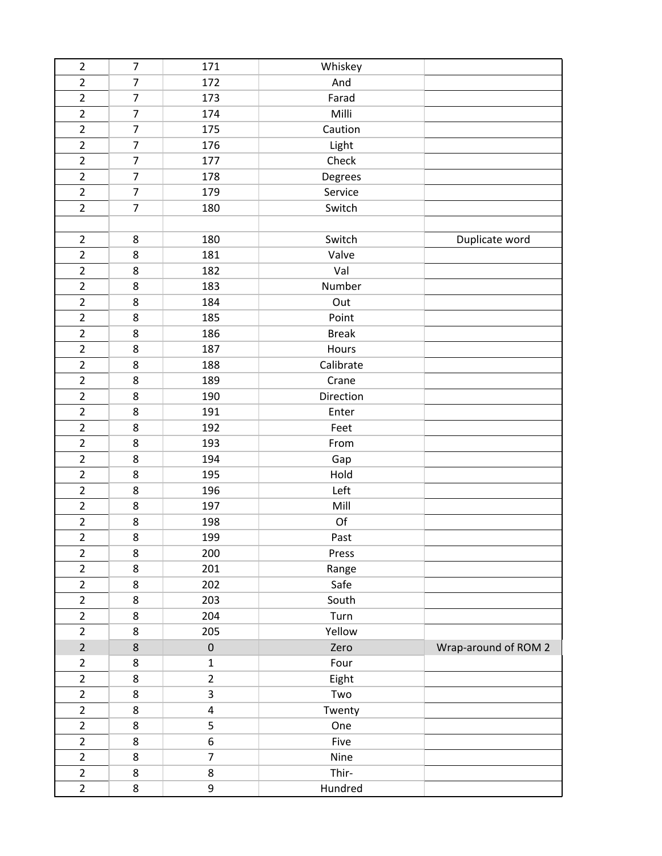| $\overline{2}$ | $\overline{7}$ | 171            | Whiskey      |                      |
|----------------|----------------|----------------|--------------|----------------------|
| $\overline{2}$ | $\overline{7}$ | 172            | And          |                      |
| $\overline{2}$ | $\overline{7}$ | 173            | Farad        |                      |
| $\overline{2}$ | $\overline{7}$ | 174            | Milli        |                      |
| $\overline{2}$ | $\overline{7}$ | 175            | Caution      |                      |
| $\overline{2}$ | 7              | 176            | Light        |                      |
| $\overline{2}$ | $\overline{7}$ | 177            | Check        |                      |
| $\overline{2}$ | $\overline{7}$ | 178            | Degrees      |                      |
| $\overline{2}$ | $\overline{7}$ | 179            | Service      |                      |
| $\overline{2}$ | $\overline{7}$ | 180            | Switch       |                      |
|                |                |                |              |                      |
| $\overline{2}$ | 8              | 180            | Switch       | Duplicate word       |
| $\overline{2}$ | 8              | 181            | Valve        |                      |
| $\overline{2}$ | 8              | 182            | Val          |                      |
| $\overline{2}$ | 8              | 183            | Number       |                      |
| $\overline{2}$ | 8              | 184            | Out          |                      |
| $\overline{2}$ | 8              | 185            | Point        |                      |
| $\overline{2}$ | 8              | 186            | <b>Break</b> |                      |
| $\overline{2}$ | 8              | 187            | Hours        |                      |
| $\overline{2}$ | 8              | 188            | Calibrate    |                      |
| $\overline{2}$ | 8              | 189            | Crane        |                      |
| $\overline{2}$ | 8              | 190            | Direction    |                      |
| $\overline{2}$ | 8              | 191            | Enter        |                      |
| $\overline{2}$ | 8              | 192            | Feet         |                      |
| $\overline{2}$ | 8              | 193            | From         |                      |
| $\overline{2}$ | 8              | 194            | Gap          |                      |
| $\overline{2}$ | 8              | 195            | Hold         |                      |
| $\overline{2}$ | 8              | 196            | Left         |                      |
| $\overline{2}$ | 8              | 197            | Mill         |                      |
| $\overline{2}$ | 8              | 198            | Of           |                      |
| $\overline{2}$ | 8              | 199            | Past         |                      |
| $\overline{2}$ | 8              | 200            | Press        |                      |
| $\overline{2}$ | 8              | 201            | Range        |                      |
| $\overline{2}$ | 8              | 202            | Safe         |                      |
| $\overline{2}$ | 8              | 203            | South        |                      |
| $\overline{2}$ | 8              | 204            | Turn         |                      |
| $\overline{2}$ | 8              | 205            | Yellow       |                      |
| $\overline{2}$ | 8              | $\pmb{0}$      | Zero         | Wrap-around of ROM 2 |
| $\overline{2}$ | 8              | $\mathbf{1}$   | Four         |                      |
| $\overline{2}$ | 8              | $\overline{2}$ | Eight        |                      |
| $\overline{2}$ | 8              | 3              | Two          |                      |
| $\overline{2}$ | 8              | $\overline{4}$ | Twenty       |                      |
| $\overline{2}$ | 8              | 5              | One          |                      |
| $\overline{2}$ | 8              | 6              | Five         |                      |
| $\overline{2}$ | 8              | $\overline{7}$ | Nine         |                      |
| $\overline{2}$ | 8              | 8              | Thir-        |                      |
| $\overline{2}$ | 8              | 9              | Hundred      |                      |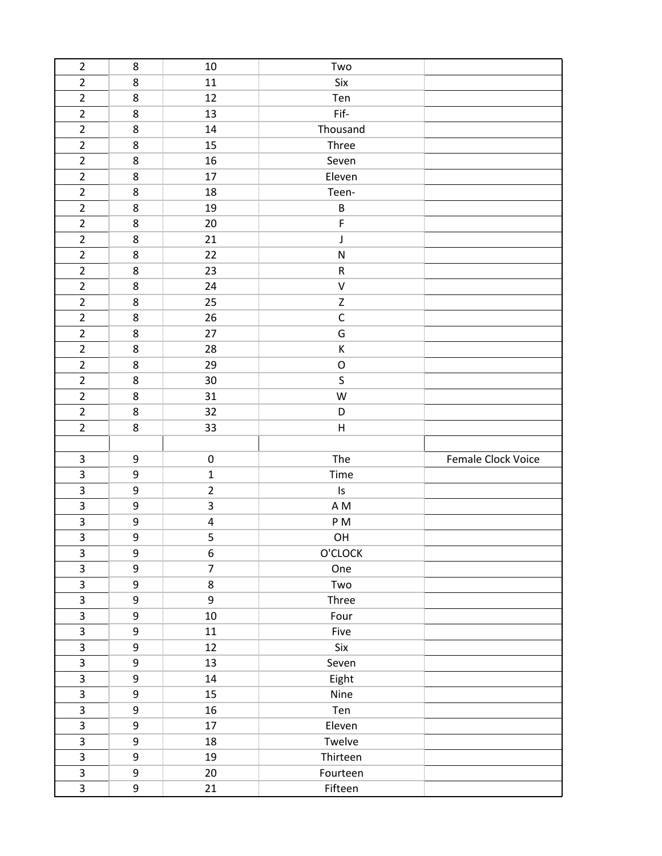| $\overline{2}$          | 8                | 10             | Two           |                    |
|-------------------------|------------------|----------------|---------------|--------------------|
| $\overline{2}$          | 8                | 11             | Six           |                    |
| $\overline{2}$          | 8                | 12             | Ten           |                    |
| $\overline{2}$          | 8                | 13             | Fif-          |                    |
| $\overline{2}$          | 8                | 14             | Thousand      |                    |
| $\overline{2}$          | 8                | 15             | Three         |                    |
| $\overline{2}$          | 8                | 16             | Seven         |                    |
| $\overline{2}$          | 8                | 17             | Eleven        |                    |
| $\overline{2}$          | 8                | 18             | Teen-         |                    |
| $\overline{2}$          | 8                | 19             | $\sf B$       |                    |
| $\overline{2}$          | 8                | 20             | F             |                    |
| $\overline{2}$          | 8                | 21             | J             |                    |
| $\overline{2}$          | 8                | 22             | ${\sf N}$     |                    |
| $\overline{2}$          | 8                | 23             | ${\sf R}$     |                    |
| $\overline{2}$          | 8                | 24             | $\sf V$       |                    |
| $\overline{2}$          | 8                | 25             | $\mathsf Z$   |                    |
| $\overline{2}$          | 8                | 26             | $\mathsf C$   |                    |
| $\overline{2}$          | 8                | 27             | G             |                    |
| $\overline{2}$          | 8                | 28             | К             |                    |
| $\overline{2}$          | 8                | 29             | $\mathsf O$   |                    |
| $\overline{2}$          | 8                | 30             | S             |                    |
| $\overline{2}$          | 8                | 31             | W             |                    |
| $\overline{2}$          | 8                | 32             | D             |                    |
| $\overline{2}$          | 8                | 33             | Н             |                    |
|                         |                  |                |               |                    |
|                         |                  |                |               |                    |
| $\overline{3}$          | 9                | $\pmb{0}$      | The           | Female Clock Voice |
| $\overline{\mathbf{3}}$ | $\boldsymbol{9}$ | $\mathbf 1$    | Time          |                    |
| $\mathbf{3}$            | $\boldsymbol{9}$ | $\overline{2}$ | $\mathsf{Is}$ |                    |
| $\overline{3}$          | 9                | 3              | A M           |                    |
| $\mathbf{3}$            | 9                | 4              | P M           |                    |
| 3                       | 9                | 5              | OH            |                    |
| $\mathbf{3}$            | 9                | 6              | O'CLOCK       |                    |
| 3                       | 9                | $\overline{7}$ | One           |                    |
| $\overline{\mathbf{3}}$ | 9                | 8              | Two           |                    |
| $\overline{3}$          | $\boldsymbol{9}$ | 9              | Three         |                    |
| $\mathbf{3}$            | $\boldsymbol{9}$ | 10             | Four          |                    |
| $\overline{\mathbf{3}}$ | 9                | 11             | Five          |                    |
| $\overline{3}$          | $\boldsymbol{9}$ | 12             | Six           |                    |
| $\overline{\mathbf{3}}$ | 9                | 13             | Seven         |                    |
| $\overline{\mathbf{3}}$ | 9                | 14             | Eight         |                    |
| $\mathbf{3}$            | 9                | 15             | Nine          |                    |
| $\overline{3}$          | 9                | 16             | Ten           |                    |
| $\overline{3}$          | 9                | 17             | Eleven        |                    |
| $\overline{3}$          | 9                | 18             | Twelve        |                    |
| $\overline{\mathbf{3}}$ | 9                | 19             | Thirteen      |                    |
| $\overline{\mathbf{3}}$ | 9                | 20             | Fourteen      |                    |